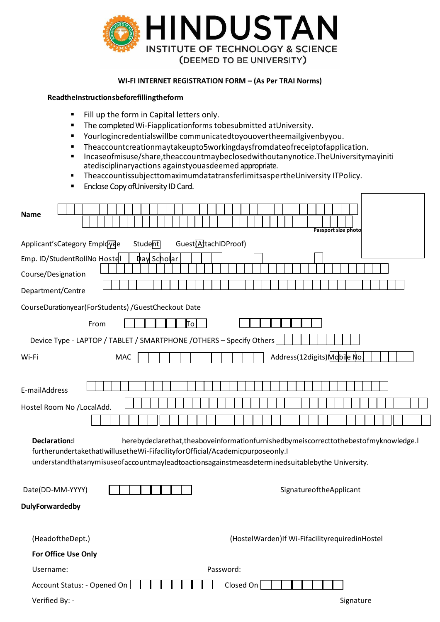

## WI-FI INTERNET REGISTRATION FORM - (As Per TRAI Norms)

## ReadtheInstructionsbeforefillingtheform

- $\blacksquare$ Fill up the form in Capital letters only.
- The completed Wi-Fiapplicationforms tobesubmitted at University.  $\blacksquare$
- $\blacksquare$ Yourlogincredentials will be communicated to you over the email given by you.
- Theaccountcreationmaytakeupto5workingdaysfromdateofreceiptofapplication.  $\blacksquare$
- Incaseofmisuse/share,theaccountmaybeclosedwithoutanynotice.TheUniversitymayiniti  $\blacksquare$ atedisciplinaryactions againstyouasdeemed appropriate.
- TheaccountissubiecttomaximumdatatransferlimitsaspertheUniversity ITPolicy.  $\blacksquare$
- Enclose Copy of University ID Card.  $\blacksquare$

| <b>Name</b>                                                                                                                                                                                                                                                                                               |  |      |     |  |         |                    |                                  |  |           |  |           |  |  |  |                                                    |  |  |  |
|-----------------------------------------------------------------------------------------------------------------------------------------------------------------------------------------------------------------------------------------------------------------------------------------------------------|--|------|-----|--|---------|--------------------|----------------------------------|--|-----------|--|-----------|--|--|--|----------------------------------------------------|--|--|--|
|                                                                                                                                                                                                                                                                                                           |  |      |     |  |         |                    |                                  |  |           |  |           |  |  |  |                                                    |  |  |  |
|                                                                                                                                                                                                                                                                                                           |  |      |     |  |         |                    |                                  |  |           |  |           |  |  |  | Passport size photo                                |  |  |  |
| Applicant's Category Employee                                                                                                                                                                                                                                                                             |  |      |     |  | Student |                    | Guest <sup>(AttachIDProof)</sup> |  |           |  |           |  |  |  |                                                    |  |  |  |
| Emp. ID/StudentRollNo Hostel                                                                                                                                                                                                                                                                              |  |      |     |  |         | <b>Day Scholar</b> |                                  |  |           |  |           |  |  |  |                                                    |  |  |  |
| Course/Designation                                                                                                                                                                                                                                                                                        |  |      |     |  |         |                    |                                  |  |           |  |           |  |  |  |                                                    |  |  |  |
| Department/Centre                                                                                                                                                                                                                                                                                         |  |      |     |  |         |                    |                                  |  |           |  |           |  |  |  |                                                    |  |  |  |
| CourseDurationyear(ForStudents) / GuestCheckout Date                                                                                                                                                                                                                                                      |  |      |     |  |         |                    |                                  |  |           |  |           |  |  |  |                                                    |  |  |  |
|                                                                                                                                                                                                                                                                                                           |  | From |     |  |         |                    | ١o                               |  |           |  |           |  |  |  |                                                    |  |  |  |
| Device Type - LAPTOP / TABLET / SMARTPHONE / OTHERS - Specify Others                                                                                                                                                                                                                                      |  |      |     |  |         |                    |                                  |  |           |  |           |  |  |  |                                                    |  |  |  |
| Wi-Fi                                                                                                                                                                                                                                                                                                     |  |      | MAC |  |         |                    |                                  |  |           |  |           |  |  |  | Address(12digits)Mobile No.                        |  |  |  |
|                                                                                                                                                                                                                                                                                                           |  |      |     |  |         |                    |                                  |  |           |  |           |  |  |  |                                                    |  |  |  |
| E-mailAddress                                                                                                                                                                                                                                                                                             |  |      |     |  |         |                    |                                  |  |           |  |           |  |  |  |                                                    |  |  |  |
| Hostel Room No /LocalAdd.                                                                                                                                                                                                                                                                                 |  |      |     |  |         |                    |                                  |  |           |  |           |  |  |  |                                                    |  |  |  |
|                                                                                                                                                                                                                                                                                                           |  |      |     |  |         |                    |                                  |  |           |  |           |  |  |  |                                                    |  |  |  |
| <b>Declaration:I</b><br>herebydeclarethat, the above information furnished by meiscorrect to the best of my knowledge.<br>furtherundertakethatIwillusetheWi-FifacilityforOfficial/Academicpurposeonly.I<br>understandthatanymisuseofaccountmayleadtoactionsagainstmeasdeterminedsuitablebythe University. |  |      |     |  |         |                    |                                  |  |           |  |           |  |  |  |                                                    |  |  |  |
| Date(DD-MM-YYYY)                                                                                                                                                                                                                                                                                          |  |      |     |  |         |                    |                                  |  |           |  |           |  |  |  | SignatureoftheApplicant                            |  |  |  |
| <b>DulyForwardedby</b>                                                                                                                                                                                                                                                                                    |  |      |     |  |         |                    |                                  |  |           |  |           |  |  |  |                                                    |  |  |  |
| (HeadoftheDept.)                                                                                                                                                                                                                                                                                          |  |      |     |  |         |                    |                                  |  |           |  |           |  |  |  | (HostelWarden) If Wi-Fifacility required in Hostel |  |  |  |
| For Office Use Only                                                                                                                                                                                                                                                                                       |  |      |     |  |         |                    |                                  |  |           |  |           |  |  |  |                                                    |  |  |  |
| Username:                                                                                                                                                                                                                                                                                                 |  |      |     |  |         |                    |                                  |  | Password: |  |           |  |  |  |                                                    |  |  |  |
| Account Status: - Opened On                                                                                                                                                                                                                                                                               |  |      |     |  |         |                    |                                  |  |           |  | Closed On |  |  |  |                                                    |  |  |  |
| Verified By: -                                                                                                                                                                                                                                                                                            |  |      |     |  |         |                    |                                  |  |           |  |           |  |  |  | Signature                                          |  |  |  |